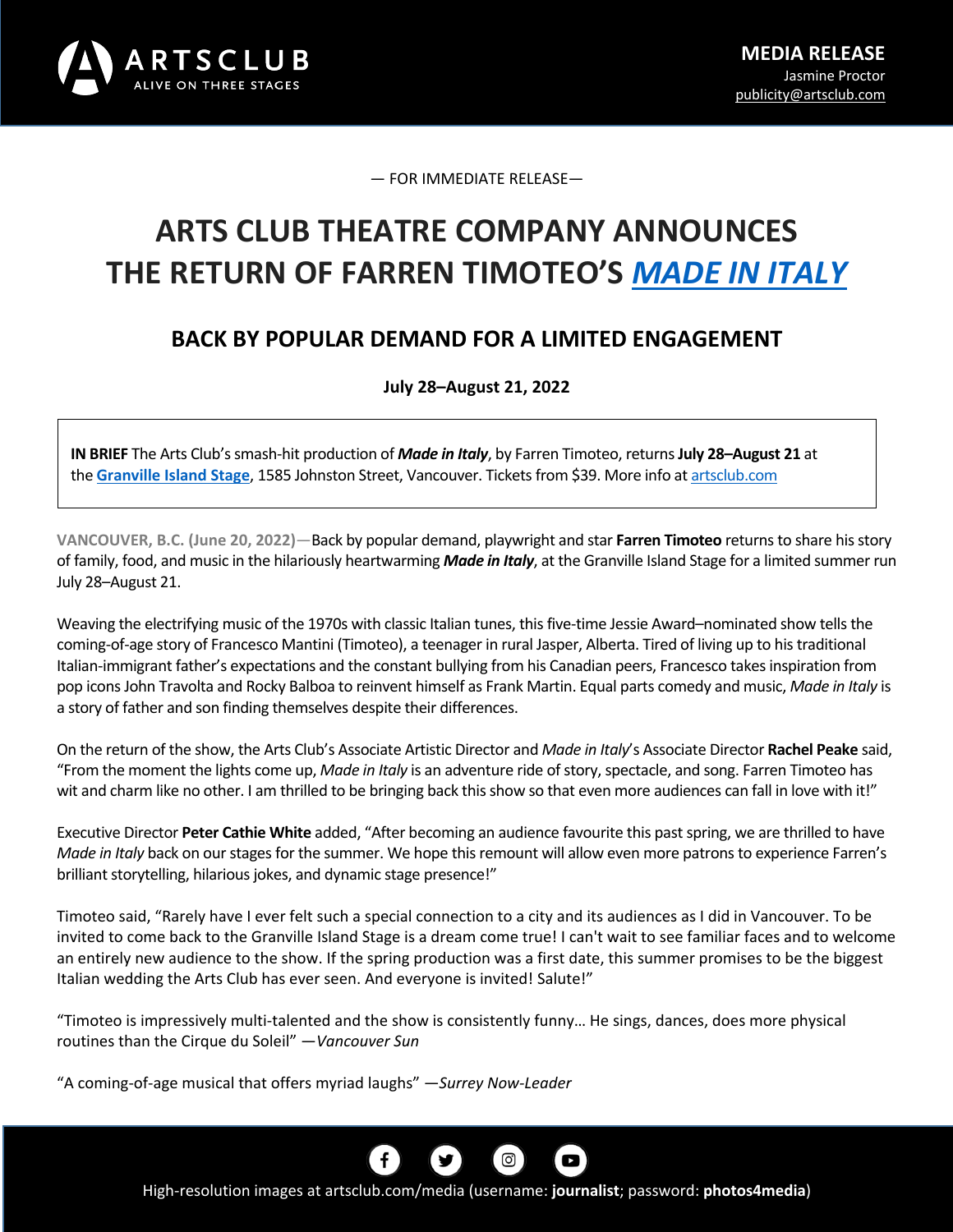

— FOR IMMEDIATE RELEASE—

# **ARTS CLUB THEATRE COMPANY ANNOUNCES THE RETURN OF FARREN TIMOTEO'S** *MADE IN ITALY*

## **BACK BY POPULAR DEMAND FOR A LIMITED ENGAGEMENT**

**July 28–August 21, 2022**

**IN BRIEF** The Arts Club'ssmash-hit production of *Made in Italy*, by Farren Timoteo, returns**July 28–August 21** at the **Granville Island Stage**, 1585 Johnston Street, Vancouver. Tickets from \$39. More info at artsclub.com

**VANCOUVER, B.C. (June 20, 2022)**—Back by popular demand, playwright and star **Farren Timoteo** returnsto share his story of family, food, and music in the hilariously heartwarming *Made in Italy*, at the Granville Island Stage for a limited summer run July 28–August 21.

Weaving the electrifying music of the 1970s with classic Italian tunes, this five-time Jessie Award–nominated show tells the coming-of-age story of Francesco Mantini (Timoteo), a teenager in rural Jasper, Alberta. Tired of living up to his traditional Italian-immigrant father's expectations and the constant bullying from his Canadian peers, Francesco takes inspiration from pop icons John Travolta and Rocky Balboa to reinvent himself as Frank Martin. Equal parts comedy and music, *Made in Italy* is a story of father and son finding themselves despite their differences.

On the return of the show, the Arts Club's Associate Artistic Director and *Made in Italy*'s Associate Director **Rachel Peake** said, "From the moment the lights come up, *Made in Italy* is an adventure ride of story, spectacle, and song. Farren Timoteo has wit and charm like no other. I am thrilled to be bringing back this show so that even more audiences can fall in love with it!"

Executive Director **Peter Cathie White** added, "After becoming an audience favourite this past spring, we are thrilled to have *Made in Italy* back on our stages for the summer. We hope this remount will allow even more patrons to experience Farren's brilliant storytelling, hilarious jokes, and dynamic stage presence!"

Timoteo said, "Rarely have I ever felt such a special connection to a city and its audiences as I did in Vancouver. To be invited to come back to the Granville Island Stage is a dream come true! I can't wait to see familiar faces and to welcome an entirely new audience to the show. If the spring production was a first date, this summer promises to be the biggest Italian wedding the Arts Club has ever seen. And everyone is invited! Salute!"

"Timoteo is impressively multi-talented and the show is consistently funny… He sings, dances, does more physical routines than the Cirque du Soleil" —*Vancouver Sun*

"A coming-of-age musical that offers myriad laughs" —*Surrey Now-Leader*



High-resolution images at artsclub.com/media (username: **journalist**; password: **photos4media**)